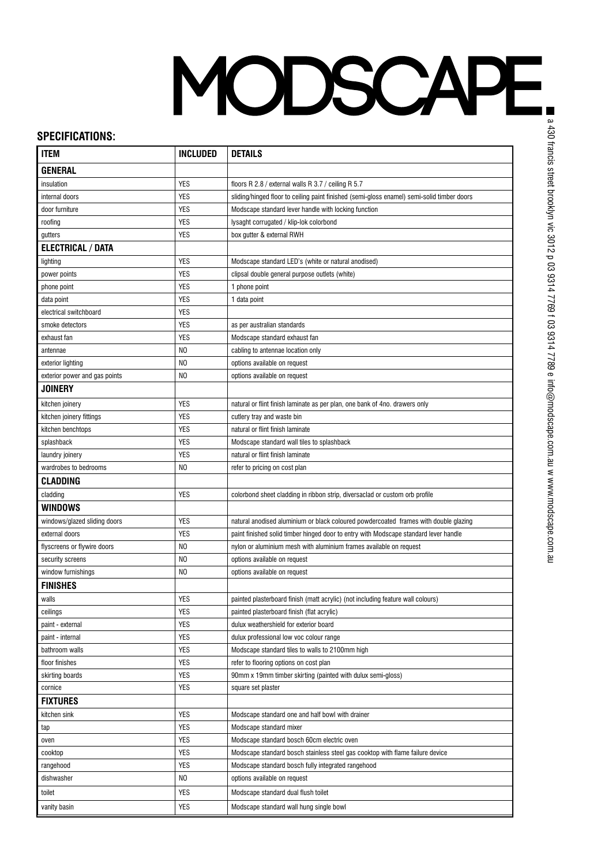## MODSCAPE

## **SPECIFICATIONS:**

| <b>ITEM</b>                   | <b>INCLUDED</b> | <b>DETAILS</b>                                                                             |
|-------------------------------|-----------------|--------------------------------------------------------------------------------------------|
| <b>GENERAL</b>                |                 |                                                                                            |
| insulation                    | YES             | floors R 2.8 / external walls R 3.7 / ceiling R 5.7                                        |
| internal doors                | <b>YES</b>      | sliding/hinged floor to ceiling paint finished (semi-gloss enamel) semi-solid timber doors |
| door furniture                | <b>YES</b>      | Modscape standard lever handle with locking function                                       |
| roofing                       | <b>YES</b>      | lysaght corrugated / klip-lok colorbond                                                    |
| gutters                       | <b>YES</b>      | box gutter & external RWH                                                                  |
| <b>ELECTRICAL / DATA</b>      |                 |                                                                                            |
| lighting                      | <b>YES</b>      | Modscape standard LED's (white or natural anodised)                                        |
| power points                  | <b>YES</b>      | clipsal double general purpose outlets (white)                                             |
| phone point                   | <b>YES</b>      | 1 phone point                                                                              |
| data point                    | <b>YES</b>      | 1 data point                                                                               |
| electrical switchboard        | <b>YES</b>      |                                                                                            |
| smoke detectors               | <b>YES</b>      | as per australian standards                                                                |
| exhaust fan                   | <b>YES</b>      | Modscape standard exhaust fan                                                              |
| antennae                      | NO              | cabling to antennae location only                                                          |
| exterior lighting             | NO              | options available on request                                                               |
| exterior power and gas points | NO              | options available on request                                                               |
| <b>JOINERY</b>                |                 |                                                                                            |
| kitchen joinery               | <b>YES</b>      | natural or flint finish laminate as per plan, one bank of 4no. drawers only                |
| kitchen joinery fittings      | <b>YES</b>      | cutlery tray and waste bin                                                                 |
| kitchen benchtops             | YES             | natural or flint finish laminate                                                           |
| splashback                    | <b>YES</b>      | Modscape standard wall tiles to splashback                                                 |
| laundry joinery               | YES             | natural or flint finish laminate                                                           |
| wardrobes to bedrooms         | N <sub>0</sub>  | refer to pricing on cost plan                                                              |
| <b>CLADDING</b>               |                 |                                                                                            |
| cladding                      | <b>YES</b>      | colorbond sheet cladding in ribbon strip, diversaclad or custom orb profile                |
| WINDOWS                       |                 |                                                                                            |
| windows/glazed sliding doors  | <b>YES</b>      | natural anodised aluminium or black coloured powdercoated frames with double glazing       |
| external doors                | <b>YES</b>      | paint finished solid timber hinged door to entry with Modscape standard lever handle       |
| flyscreens or flywire doors   | NO              | nylon or aluminium mesh with aluminium frames available on request                         |
| security screens              | NO              | options available on request                                                               |
| window furnishings            | N <sub>0</sub>  | options available on request                                                               |
| <b>FINISHES</b>               |                 |                                                                                            |
| walls                         | YES             | painted plasterboard finish (matt acrylic) (not including feature wall colours)            |
| ceilings                      | <b>YES</b>      | painted plasterboard finish (flat acrylic)                                                 |
| paint - external              | <b>YES</b>      | dulux weathershield for exterior board                                                     |
| paint - internal              | YES             | dulux professional low voc colour range                                                    |
| bathroom walls                | <b>YES</b>      | Modscape standard tiles to walls to 2100mm high                                            |
| floor finishes                | YES             | refer to flooring options on cost plan                                                     |
| skirting boards               | <b>YES</b>      | 90mm x 19mm timber skirting (painted with dulux semi-gloss)                                |
| cornice                       | <b>YES</b>      | square set plaster                                                                         |
| <b>FIXTURES</b>               |                 |                                                                                            |
| kitchen sink                  | <b>YES</b>      | Modscape standard one and half bowl with drainer                                           |
| tap                           | <b>YES</b>      | Modscape standard mixer                                                                    |
| oven                          | <b>YES</b>      | Modscape standard bosch 60cm electric oven                                                 |
| cooktop                       | <b>YES</b>      | Modscape standard bosch stainless steel gas cooktop with flame failure device              |
| rangehood                     | <b>YES</b>      | Modscape standard bosch fully integrated rangehood                                         |
| dishwasher                    | NO              | options available on request                                                               |
| toilet                        | YES             | Modscape standard dual flush toilet                                                        |
| vanity basin                  | <b>YES</b>      | Modscape standard wall hung single bowl                                                    |